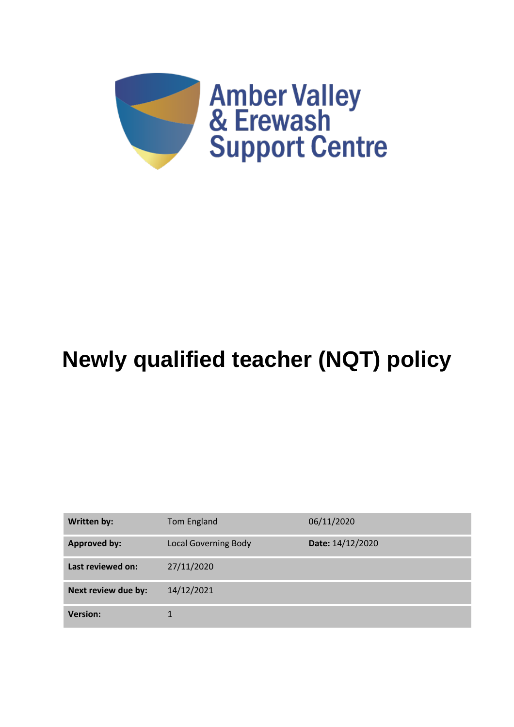

# **Newly qualified teacher (NQT) policy**

| Written by:         | Tom England                 | 06/11/2020       |
|---------------------|-----------------------------|------------------|
| <b>Approved by:</b> | <b>Local Governing Body</b> | Date: 14/12/2020 |
| Last reviewed on:   | 27/11/2020                  |                  |
| Next review due by: | 14/12/2021                  |                  |
| <b>Version:</b>     |                             |                  |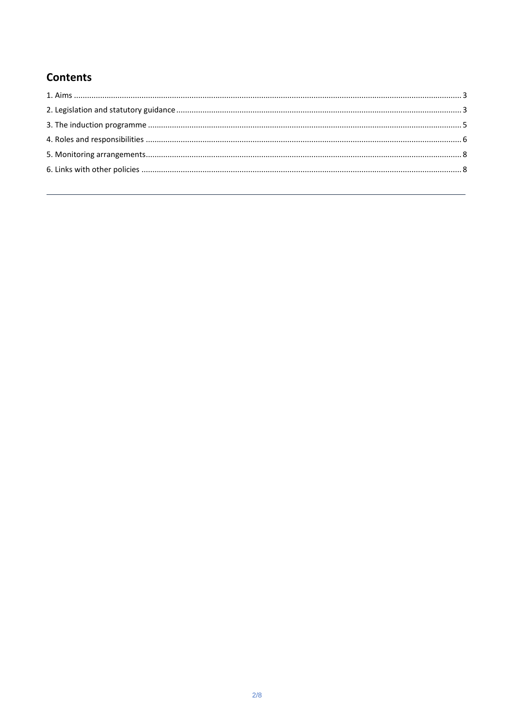# **Contents**

<span id="page-1-0"></span>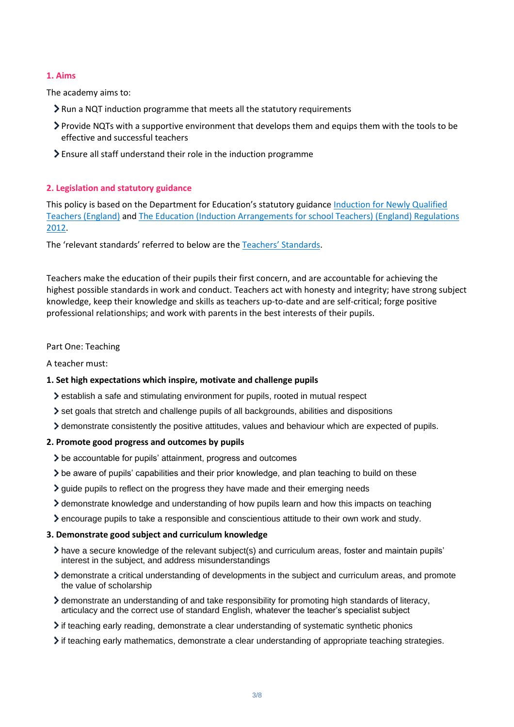# **1. Aims**

The academy aims to:

- Run a NQT induction programme that meets all the statutory requirements
- Provide NQTs with a supportive environment that develops them and equips them with the tools to be effective and successful teachers
- Ensure all staff understand their role in the induction programme

# <span id="page-2-0"></span>**2. Legislation and statutory guidance**

This policy is based on the Department for Education's statutory guidance [Induction for Newly Qualified](https://www.gov.uk/government/publications/induction-for-newly-qualified-teachers-nqts)  [Teachers \(England\)](https://www.gov.uk/government/publications/induction-for-newly-qualified-teachers-nqts) an[d The Education \(Induction Arrangements for](http://www.legislation.gov.uk/uksi/2012/1115/contents/made) school Teachers) (England) Regulations [2012.](http://www.legislation.gov.uk/uksi/2012/1115/contents/made)

The 'relevant standards' referred to below are the [Teachers' Standards](https://www.gov.uk/government/publications/teachers-standards).

Teachers make the education of their pupils their first concern, and are accountable for achieving the highest possible standards in work and conduct. Teachers act with honesty and integrity; have strong subject knowledge, keep their knowledge and skills as teachers up-to-date and are self-critical; forge positive professional relationships; and work with parents in the best interests of their pupils.

# Part One: Teaching

A teacher must:

# **1. Set high expectations which inspire, motivate and challenge pupils**

- establish a safe and stimulating environment for pupils, rooted in mutual respect
- $\ge$  set goals that stretch and challenge pupils of all backgrounds, abilities and dispositions
- demonstrate consistently the positive attitudes, values and behaviour which are expected of pupils.

# **2. Promote good progress and outcomes by pupils**

- be accountable for pupils' attainment, progress and outcomes
- be aware of pupils' capabilities and their prior knowledge, and plan teaching to build on these
- $\geq$  guide pupils to reflect on the progress they have made and their emerging needs
- demonstrate knowledge and understanding of how pupils learn and how this impacts on teaching
- encourage pupils to take a responsible and conscientious attitude to their own work and study.

# **3. Demonstrate good subject and curriculum knowledge**

- have a secure knowledge of the relevant subject(s) and curriculum areas, foster and maintain pupils' interest in the subject, and address misunderstandings
- demonstrate a critical understanding of developments in the subject and curriculum areas, and promote the value of scholarship
- demonstrate an understanding of and take responsibility for promoting high standards of literacy, articulacy and the correct use of standard English, whatever the teacher's specialist subject
- if teaching early reading, demonstrate a clear understanding of systematic synthetic phonics
- if teaching early mathematics, demonstrate a clear understanding of appropriate teaching strategies.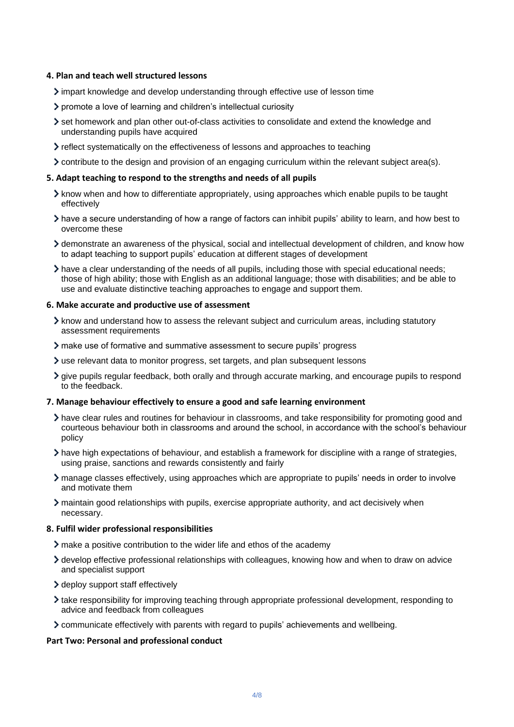#### **4. Plan and teach well structured lessons**

- $\geq$  impart knowledge and develop understanding through effective use of lesson time
- promote a love of learning and children's intellectual curiosity
- set homework and plan other out-of-class activities to consolidate and extend the knowledge and understanding pupils have acquired
- reflect systematically on the effectiveness of lessons and approaches to teaching
- contribute to the design and provision of an engaging curriculum within the relevant subject area(s).

#### **5. Adapt teaching to respond to the strengths and needs of all pupils**

- $\lambda$  know when and how to differentiate appropriately, using approaches which enable pupils to be taught effectively
- have a secure understanding of how a range of factors can inhibit pupils' ability to learn, and how best to overcome these
- demonstrate an awareness of the physical, social and intellectual development of children, and know how to adapt teaching to support pupils' education at different stages of development
- have a clear understanding of the needs of all pupils, including those with special educational needs; those of high ability; those with English as an additional language; those with disabilities; and be able to use and evaluate distinctive teaching approaches to engage and support them.

#### **6. Make accurate and productive use of assessment**

- $\geq$  know and understand how to assess the relevant subject and curriculum areas, including statutory assessment requirements
- make use of formative and summative assessment to secure pupils' progress
- use relevant data to monitor progress, set targets, and plan subsequent lessons
- give pupils regular feedback, both orally and through accurate marking, and encourage pupils to respond to the feedback.

#### **7. Manage behaviour effectively to ensure a good and safe learning environment**

- have clear rules and routines for behaviour in classrooms, and take responsibility for promoting good and courteous behaviour both in classrooms and around the school, in accordance with the school's behaviour policy
- have high expectations of behaviour, and establish a framework for discipline with a range of strategies, using praise, sanctions and rewards consistently and fairly
- manage classes effectively, using approaches which are appropriate to pupils' needs in order to involve and motivate them
- maintain good relationships with pupils, exercise appropriate authority, and act decisively when necessary.

#### **8. Fulfil wider professional responsibilities**

- make a positive contribution to the wider life and ethos of the academy
- develop effective professional relationships with colleagues, knowing how and when to draw on advice and specialist support
- > deploy support staff effectively
- take responsibility for improving teaching through appropriate professional development, responding to advice and feedback from colleagues
- communicate effectively with parents with regard to pupils' achievements and wellbeing.

# **Part Two: Personal and professional conduct**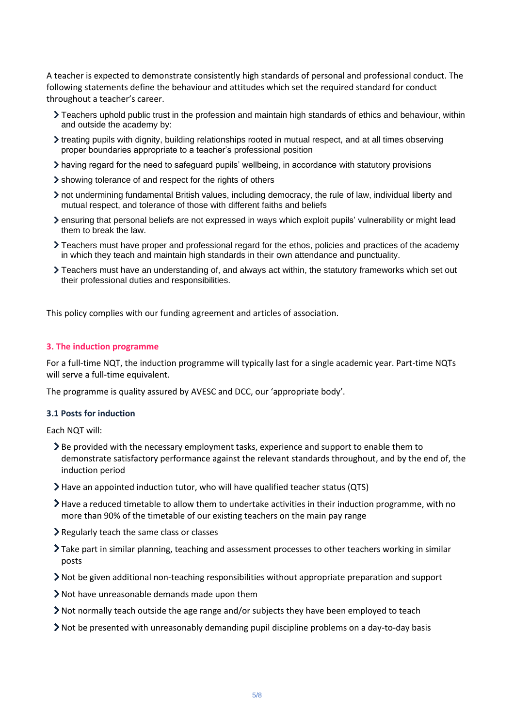A teacher is expected to demonstrate consistently high standards of personal and professional conduct. The following statements define the behaviour and attitudes which set the required standard for conduct throughout a teacher's career.

- Teachers uphold public trust in the profession and maintain high standards of ethics and behaviour, within and outside the academy by:
- treating pupils with dignity, building relationships rooted in mutual respect, and at all times observing proper boundaries appropriate to a teacher's professional position
- having regard for the need to safeguard pupils' wellbeing, in accordance with statutory provisions
- showing tolerance of and respect for the rights of others
- not undermining fundamental British values, including democracy, the rule of law, individual liberty and mutual respect, and tolerance of those with different faiths and beliefs
- ensuring that personal beliefs are not expressed in ways which exploit pupils' vulnerability or might lead them to break the law.
- Teachers must have proper and professional regard for the ethos, policies and practices of the academy in which they teach and maintain high standards in their own attendance and punctuality.
- Teachers must have an understanding of, and always act within, the statutory frameworks which set out their professional duties and responsibilities.

This policy complies with our funding agreement and articles of association.

#### <span id="page-4-0"></span>**3. The induction programme**

For a full-time NQT, the induction programme will typically last for a single academic year. Part-time NQTs will serve a full-time equivalent.

The programme is quality assured by AVESC and DCC, our 'appropriate body'.

#### **3.1 Posts for induction**

Each NQT will:

- $\geq$  Be provided with the necessary employment tasks, experience and support to enable them to demonstrate satisfactory performance against the relevant standards throughout, and by the end of, the induction period
- Have an appointed induction tutor, who will have qualified teacher status (QTS)
- Have a reduced timetable to allow them to undertake activities in their induction programme, with no more than 90% of the timetable of our existing teachers on the main pay range
- Regularly teach the same class or classes
- Take part in similar planning, teaching and assessment processes to other teachers working in similar posts
- Not be given additional non-teaching responsibilities without appropriate preparation and support
- Not have unreasonable demands made upon them
- Not normally teach outside the age range and/or subjects they have been employed to teach
- $\geq$  Not be presented with unreasonably demanding pupil discipline problems on a day-to-day basis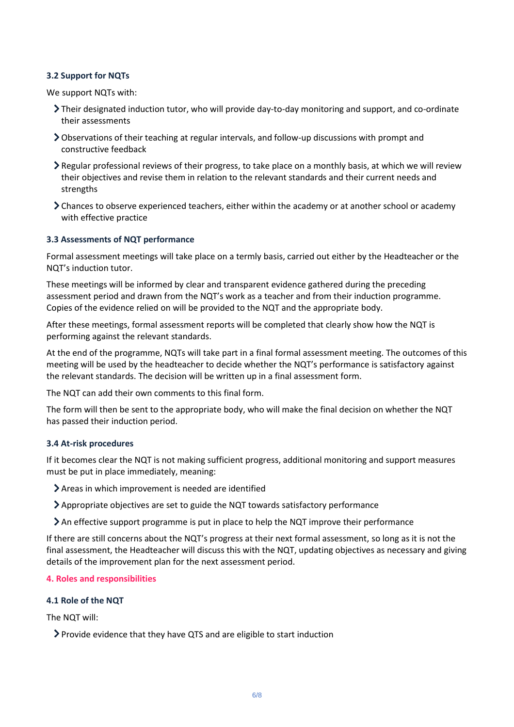# **3.2 Support for NQTs**

We support NQTs with:

- Their designated induction tutor, who will provide day-to-day monitoring and support, and co-ordinate their assessments
- Observations of their teaching at regular intervals, and follow-up discussions with prompt and constructive feedback
- Regular professional reviews of their progress, to take place on a monthly basis, at which we will review their objectives and revise them in relation to the relevant standards and their current needs and strengths
- Chances to observe experienced teachers, either within the academy or at another school or academy with effective practice

# **3.3 Assessments of NQT performance**

Formal assessment meetings will take place on a termly basis, carried out either by the Headteacher or the NQT's induction tutor.

These meetings will be informed by clear and transparent evidence gathered during the preceding assessment period and drawn from the NQT's work as a teacher and from their induction programme. Copies of the evidence relied on will be provided to the NQT and the appropriate body.

After these meetings, formal assessment reports will be completed that clearly show how the NQT is performing against the relevant standards.

At the end of the programme, NQTs will take part in a final formal assessment meeting. The outcomes of this meeting will be used by the headteacher to decide whether the NQT's performance is satisfactory against the relevant standards. The decision will be written up in a final assessment form.

The NQT can add their own comments to this final form.

The form will then be sent to the appropriate body, who will make the final decision on whether the NQT has passed their induction period.

# **3.4 At-risk procedures**

If it becomes clear the NQT is not making sufficient progress, additional monitoring and support measures must be put in place immediately, meaning:

- Areas in which improvement is needed are identified
- Appropriate objectives are set to guide the NQT towards satisfactory performance
- An effective support programme is put in place to help the NQT improve their performance

If there are still concerns about the NQT's progress at their next formal assessment, so long as it is not the final assessment, the Headteacher will discuss this with the NQT, updating objectives as necessary and giving details of the improvement plan for the next assessment period.

# <span id="page-5-0"></span>**4. Roles and responsibilities**

#### **4.1 Role of the NQT**

The NQT will:

Provide evidence that they have QTS and are eligible to start induction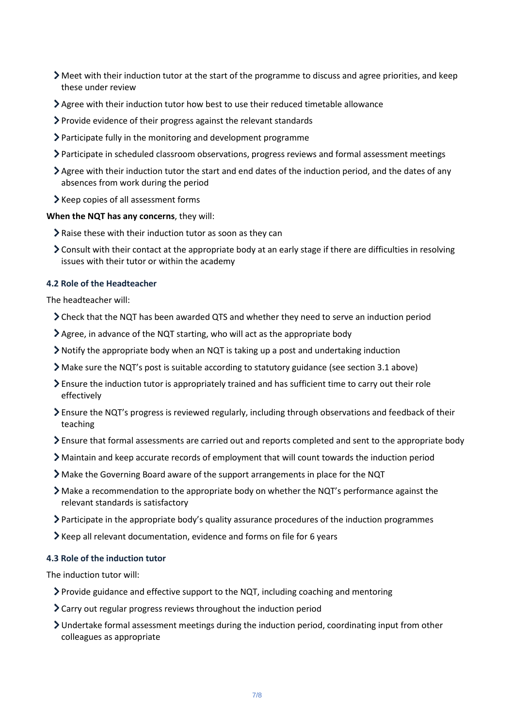- Meet with their induction tutor at the start of the programme to discuss and agree priorities, and keep these under review
- Agree with their induction tutor how best to use their reduced timetable allowance
- Provide evidence of their progress against the relevant standards
- Participate fully in the monitoring and development programme
- Participate in scheduled classroom observations, progress reviews and formal assessment meetings
- Agree with their induction tutor the start and end dates of the induction period, and the dates of any absences from work during the period
- > Keep copies of all assessment forms

## **When the NQT has any concerns**, they will:

- Raise these with their induction tutor as soon as they can
- Consult with their contact at the appropriate body at an early stage if there are difficulties in resolving issues with their tutor or within the academy

# **4.2 Role of the Headteacher**

The headteacher will:

- Check that the NQT has been awarded QTS and whether they need to serve an induction period
- Agree, in advance of the NQT starting, who will act as the appropriate body
- Notify the appropriate body when an NQT is taking up a post and undertaking induction
- Make sure the NQT's post is suitable according to statutory guidance (see section 3.1 above)
- Ensure the induction tutor is appropriately trained and has sufficient time to carry out their role effectively
- Ensure the NQT's progress is reviewed regularly, including through observations and feedback of their teaching
- Ensure that formal assessments are carried out and reports completed and sent to the appropriate body
- Maintain and keep accurate records of employment that will count towards the induction period
- Make the Governing Board aware of the support arrangements in place for the NQT
- Make a recommendation to the appropriate body on whether the NQT's performance against the relevant standards is satisfactory
- Participate in the appropriate body's quality assurance procedures of the induction programmes
- Keep all relevant documentation, evidence and forms on file for 6 years

#### **4.3 Role of the induction tutor**

The induction tutor will:

- $\triangleright$  Provide guidance and effective support to the NQT, including coaching and mentoring
- Carry out regular progress reviews throughout the induction period
- Undertake formal assessment meetings during the induction period, coordinating input from other colleagues as appropriate